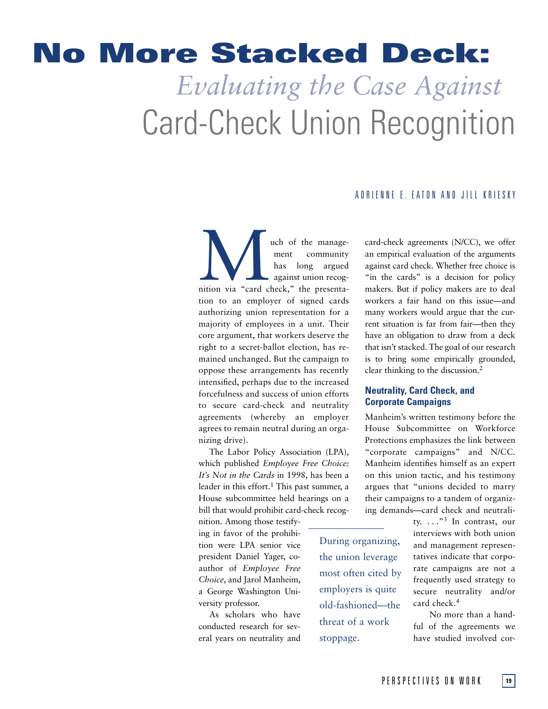# **No More Stacked Deck:** *Evaluating the Case Against* Card-Check Union Recognition

## ADRIENNE E. EATON AND JILL KRIESKY

and the manage-<br>
ment community<br>
has long argued<br>
against union recog-<br>
ition via "card check," the presentament community has long argued against union recogtion to an employer of signed cards authorizing union representation for a majority of employees in a unit. Their core argument, that workers deserve the right to a secret-ballot election, has remained unchanged. But the campaign to oppose these arrangements has recently intensified, perhaps due to the increased forcefulness and success of union efforts to secure card-check and neutrality agreements (whereby an employer agrees to remain neutral during an organizing drive).

The Labor Policy Association (LPA), which published *Employee Free Choice: It's Not in the Cards* in 1998, has been a leader in this effort.<sup>1</sup> This past summer, a House subcommittee held hearings on a bill that would prohibit card-check recog-

nition. Among those testifying in favor of the prohibition were LPA senior vice president Daniel Yager, coauthor of *Employee Free Choice*, and Jarol Manheim, a George Washington University professor.

As scholars who have conducted research for several years on neutrality and During organizing, the union leverage most often cited by employers is quite old-fashioned—the threat of a work stoppage.

card-check agreements (N/CC), we offer an empirical evaluation of the arguments against card check. Whether free choice is "in the cards" is a decision for policy makers. But if policy makers are to deal workers a fair hand on this issue—and many workers would argue that the current situation is far from fair—then they have an obligation to draw from a deck that isn't stacked. The goal of our research is to bring some empirically grounded, clear thinking to the discussion.2

## **Neutrality, Card Check, and Corporate Campaigns**

Manheim's written testimony before the House Subcommittee on Workforce Protections emphasizes the link between "corporate campaigns" and N/CC. Manheim identifies himself as an expert on this union tactic, and his testimony argues that "unions decided to marry their campaigns to a tandem of organizing demands—card check and neutrali-

> ty.  $\ldots$ ."<sup>3</sup> In contrast, our interviews with both union and management representatives indicate that corporate campaigns are not a frequently used strategy to secure neutrality and/or card check.<sup>4</sup>

> No more than a handful of the agreements we have studied involved cor-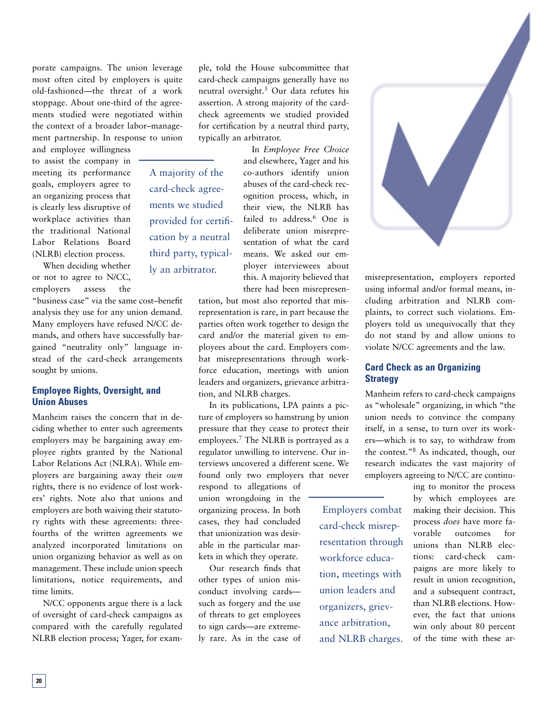porate campaigns. The union leverage most often cited by employers is quite old-fashioned—the threat of a work stoppage. About one-third of the agreements studied were negotiated within the context of a broader labor–management partnership. In response to union

and employee willingness to assist the company in meeting its performance goals, employers agree to an organizing process that is clearly less disruptive of workplace activities than the traditional National Labor Relations Board (NLRB) election process.

When deciding whether or not to agree to N/CC, employers assess the

"business case" via the same cost–benefit analysis they use for any union demand. Many employers have refused N/CC demands, and others have successfully bargained "neutrality only" language instead of the card-check arrangements sought by unions.

## **Employee Rights, Oversight, and Union Abuses**

Manheim raises the concern that in deciding whether to enter such agreements employers may be bargaining away employee rights granted by the National Labor Relations Act (NLRA). While employers are bargaining away their *own* rights, there is no evidence of lost workers' rights. Note also that unions and employers are both waiving their statutory rights with these agreements: threefourths of the written agreements we analyzed incorporated limitations on union organizing behavior as well as on management. These include union speech limitations, notice requirements, and time limits.

N/CC opponents argue there is a lack of oversight of card-check campaigns as compared with the carefully regulated NLRB election process; Yager, for exam-

ple, told the House subcommittee that card-check campaigns generally have no neutral oversight.5 Our data refutes his assertion. A strong majority of the cardcheck agreements we studied provided for certification by a neutral third party, typically an arbitrator.

A majority of the card-check agreements we studied provided for certification by a neutral third party, typically an arbitrator.

In *Employee Free Choice* and elsewhere, Yager and his co-authors identify union abuses of the card-check recognition process, which, in their view, the NLRB has failed to address.<sup>6</sup> One is deliberate union misrepresentation of what the card means. We asked our employer interviewees about this. A majority believed that there had been misrepresen-

tation, but most also reported that misrepresentation is rare, in part because the parties often work together to design the card and/or the material given to employees about the card. Employers combat misrepresentations through workforce education, meetings with union leaders and organizers, grievance arbitration, and NLRB charges.

In its publications, LPA paints a picture of employers so hamstrung by union pressure that they cease to protect their employees.7 The NLRB is portrayed as a regulator unwilling to intervene. Our interviews uncovered a different scene. We found only two employers that never

respond to allegations of union wrongdoing in the organizing process. In both cases, they had concluded that unionization was desirable in the particular markets in which they operate.

Our research finds that other types of union misconduct involving cards such as forgery and the use of threats to get employees to sign cards—are extremely rare. As in the case of



misrepresentation, employers reported using informal and/or formal means, including arbitration and NLRB complaints, to correct such violations. Employers told us unequivocally that they do not stand by and allow unions to violate N/CC agreements and the law.

## **Card Check as an Organizing Strategy**

 Employers combat card-check misrepresentation through workforce education, meetings with union leaders and organizers, grievance arbitration, and NLRB charges.

Manheim refers to card-check campaigns as "wholesale" organizing, in which "the union needs to convince the company itself, in a sense, to turn over its workers—which is to say, to withdraw from the contest."8 As indicated, though, our research indicates the vast majority of employers agreeing to N/CC are continu-

> ing to monitor the process by which employees are making their decision. This process *does* have more favorable outcomes for unions than NLRB elections: card-check campaigns are more likely to result in union recognition, and a subsequent contract, than NLRB elections. However, the fact that unions win only about 80 percent of the time with these ar-